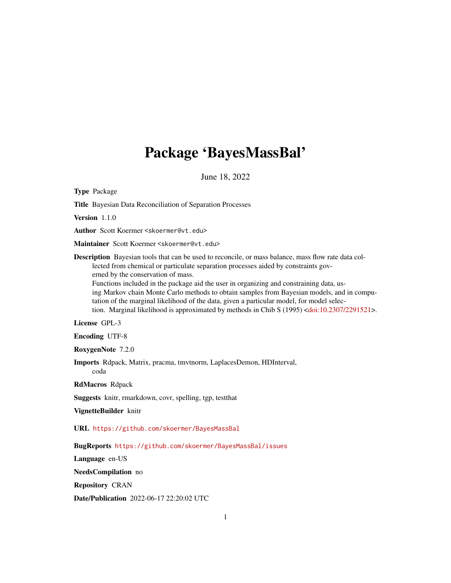# Package 'BayesMassBal'

June 18, 2022

<span id="page-0-0"></span>Type Package

Title Bayesian Data Reconciliation of Separation Processes

Version 1.1.0

Author Scott Koermer <skoermer@vt.edu>

Maintainer Scott Koermer <skoermer@vt.edu>

Description Bayesian tools that can be used to reconcile, or mass balance, mass flow rate data collected from chemical or particulate separation processes aided by constraints governed by the conservation of mass.

Functions included in the package aid the user in organizing and constraining data, using Markov chain Monte Carlo methods to obtain samples from Bayesian models, and in computation of the marginal likelihood of the data, given a particular model, for model selection. Marginal likelihood is approximated by methods in Chib S (1995) [<doi:10.2307/2291521>](https://doi.org/10.2307/2291521).

License GPL-3

Encoding UTF-8

RoxygenNote 7.2.0

Imports Rdpack, Matrix, pracma, tmvtnorm, LaplacesDemon, HDInterval, coda

RdMacros Rdpack

Suggests knitr, rmarkdown, covr, spelling, tgp, testthat

VignetteBuilder knitr

URL <https://github.com/skoermer/BayesMassBal>

BugReports <https://github.com/skoermer/BayesMassBal/issues>

Language en-US

NeedsCompilation no

Repository CRAN

Date/Publication 2022-06-17 22:20:02 UTC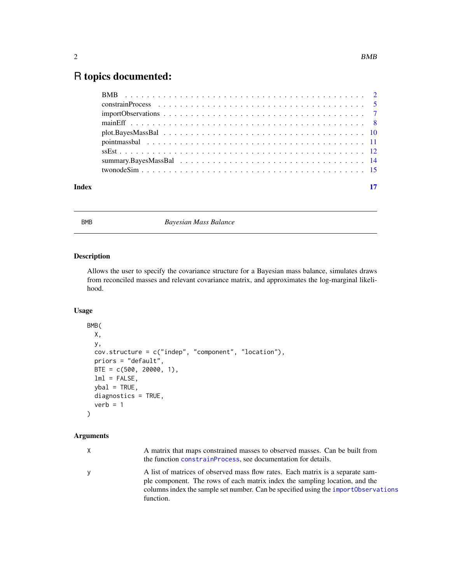## <span id="page-1-0"></span>R topics documented:

| Index |  |
|-------|--|

<span id="page-1-1"></span>

BMB *Bayesian Mass Balance*

#### Description

Allows the user to specify the covariance structure for a Bayesian mass balance, simulates draws from reconciled masses and relevant covariance matrix, and approximates the log-marginal likelihood.

#### Usage

```
BMB(
 X,
 y,
 cov.structure = c("indep", "component", "location"),
 priors = "default",
 BTE = c(500, 20000, 1),
 lml = FALSE,ybal = TRUE,diagnostics = TRUE,
  verb = 1)
```
#### Arguments

| X. | A matrix that maps constrained masses to observed masses. Can be built from<br>the function constrainProcess, see documentation for details.                                                                                                         |
|----|------------------------------------------------------------------------------------------------------------------------------------------------------------------------------------------------------------------------------------------------------|
| y  | A list of matrices of observed mass flow rates. Each matrix is a separate sam-<br>ple component. The rows of each matrix index the sampling location, and the<br>columns index the sample set number. Can be specified using the import Observations |
|    | function.                                                                                                                                                                                                                                            |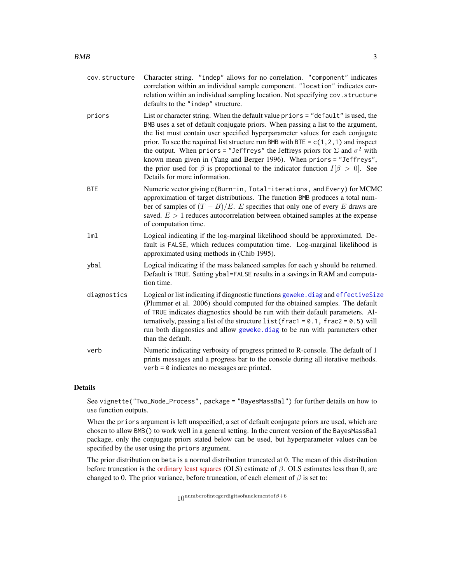<span id="page-2-0"></span>cov.structure Character string. "indep" allows for no correlation. "component" indicates correlation within an individual sample component. "location" indicates correlation within an individual sampling location. Not specifying cov.structure defaults to the "indep" structure. priors List or character string. When the default value priors = "default" is used, the BMB uses a set of default conjugate priors. When passing a list to the argument, the list must contain user specified hyperparameter values for each conjugate prior. To see the required list structure run BMB with BTE =  $c(1, 2, 1)$  and inspect the output. When priors = "Jeffreys" the Jeffreys priors for  $\Sigma$  and  $\sigma^2$  with known mean given in (Yang and Berger 1996). When priors = "Jeffreys", the prior used for  $\beta$  is proportional to the indicator function  $I[\beta > 0]$ . See Details for more information. BTE Numeric vector giving c(Burn-in, Total-iterations, and Every) for MCMC approximation of target distributions. The function BMB produces a total number of samples of  $(T - B)/E$ . E specifies that only one of every E draws are saved.  $E > 1$  reduces autocorrelation between obtained samples at the expense of computation time. lml Logical indicating if the log-marginal likelihood should be approximated. Default is FALSE, which reduces computation time. Log-marginal likelihood is approximated using methods in (Chib 1995). ybal  $\log$ ical indicating if the mass balanced samples for each y should be returned. Default is TRUE. Setting ybal=FALSE results in a savings in RAM and computation time. diagnostics Logical or list indicating if diagnostic functions [geweke.diag](#page-0-0) and [effectiveSize](#page-0-0) (Plummer et al. 2006) should computed for the obtained samples. The default of TRUE indicates diagnostics should be run with their default parameters. Alternatively, passing a list of the structure list (frac1 =  $0.1$ , frac2 =  $0.5$ ) will run both diagnostics and allow [geweke.diag](#page-0-0) to be run with parameters other than the default. verb Numeric indicating verbosity of progress printed to R-console. The default of 1 prints messages and a progress bar to the console during all iterative methods.  $verb =  $\emptyset$  indicates no messages are printed.$ 

#### **Details**

See vignette("Two\_Node\_Process", package = "BayesMassBal") for further details on how to use function outputs.

When the priors argument is left unspecified, a set of default conjugate priors are used, which are chosen to allow BMB() to work well in a general setting. In the current version of the BayesMassBal package, only the conjugate priors stated below can be used, but hyperparameter values can be specified by the user using the priors argument.

The prior distribution on beta is a normal distribution truncated at 0. The mean of this distribution before truncation is the [ordinary least squares](https://en.wikipedia.org/wiki/Ordinary_least_squares) (OLS) estimate of  $\beta$ . OLS estimates less than 0, are changed to 0. The prior variance, before truncation, of each element of  $\beta$  is set to:

 $10^{numberofinteger digits of an element of  $\beta + 6$$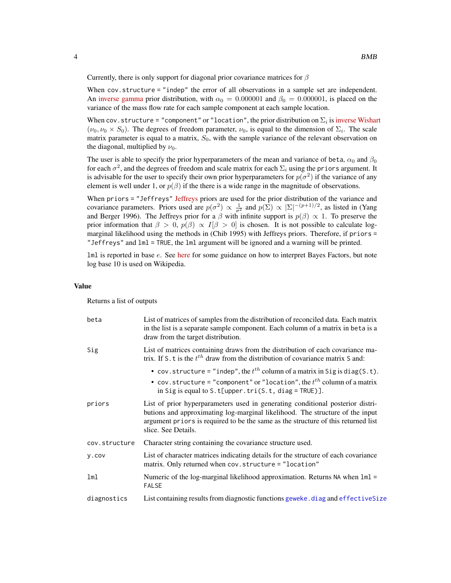<span id="page-3-0"></span>Currently, there is only support for diagonal prior covariance matrices for  $\beta$ 

When cov.structure = "indep" the error of all observations in a sample set are independent. An [inverse gamma](https://en.wikipedia.org/wiki/Inverse-gamma_distribution) prior distribution, with  $\alpha_0 = 0.000001$  and  $\beta_0 = 0.000001$ , is placed on the variance of the mass flow rate for each sample component at each sample location.

When cov.structure = "component" or "location", the prior distribution on  $\Sigma_i$  is [inverse Wishart](https://en.wikipedia.org/wiki/Inverse-Wishart_distribution)  $(\nu_0, \nu_0 \times S_0)$ . The degrees of freedom parameter,  $\nu_0$ , is equal to the dimension of  $\Sigma_i$ . The scale matrix parameter is equal to a matrix,  $S_0$ , with the sample variance of the relevant observation on the diagonal, multiplied by  $\nu_0$ .

The user is able to specify the prior hyperparameters of the mean and variance of beta,  $\alpha_0$  and  $\beta_0$ for each  $\sigma^2$ , and the degrees of freedom and scale matrix for each  $\Sigma_i$  using the priors argument. It is advisable for the user to specify their own prior hyperparameters for  $p(\sigma^2)$  if the variance of any element is well under 1, or  $p(\beta)$  if the there is a wide range in the magnitude of observations.

When priors = "[Jeffreys](https://en.wikipedia.org/wiki/Jeffreys_prior)" Jeffreys priors are used for the prior distribution of the variance and covariance parameters. Priors used are  $p(\sigma^2) \propto \frac{1}{\sigma^2}$  and  $p(\Sigma) \propto |\Sigma|^{-(p+1)/2}$ , as listed in (Yang and Berger 1996). The Jeffreys prior for a  $\beta$  with infinite support is  $p(\beta) \propto 1$ . To preserve the prior information that  $\beta > 0$ ,  $p(\beta) \propto I[\beta > 0]$  is chosen. It is not possible to calculate logmarginal likelihood using the methods in (Chib 1995) with Jeffreys priors. Therefore, if priors = "Jeffreys" and lml = TRUE, the lml argument will be ignored and a warning will be printed.

lml is reported in base e. See [here](https://en.wikipedia.org/wiki/Bayes_factor#Interpretation) for some guidance on how to interpret Bayes Factors, but note log base 10 is used on Wikipedia.

#### Value

Returns a list of outputs

| beta          | List of matrices of samples from the distribution of reconciled data. Each matrix<br>in the list is a separate sample component. Each column of a matrix in beta is a<br>draw from the target distribution.                                                                 |
|---------------|-----------------------------------------------------------------------------------------------------------------------------------------------------------------------------------------------------------------------------------------------------------------------------|
| Sig           | List of matrices containing draws from the distribution of each covariance ma-<br>trix. If S. t is the $t^{th}$ draw from the distribution of covariance matrix S and:                                                                                                      |
|               | • cov. structure = "indep", the $t^{th}$ column of a matrix in Sig is diag(S.t).<br>• cov. structure = "component" or "location", the $t^{th}$ column of a matrix<br>in Sig is equal to $S.t[upper.tri(S.t, diag = TRUE)]$ .                                                |
| priors        | List of prior hyperparameters used in generating conditional posterior distri-<br>butions and approximating log-marginal likelihood. The structure of the input<br>argument priors is required to be the same as the structure of this returned list<br>slice. See Details. |
| cov.structure | Character string containing the covariance structure used.                                                                                                                                                                                                                  |
| y.cov         | List of character matrices indicating details for the structure of each covariance<br>matrix. Only returned when cov. structure = "location"                                                                                                                                |
| lml           | Numeric of the log-marginal likelihood approximation. Returns NA when 1m1 =<br><b>FALSE</b>                                                                                                                                                                                 |
| diagnostics   | List containing results from diagnostic functions geweke. diag and effectiveSize                                                                                                                                                                                            |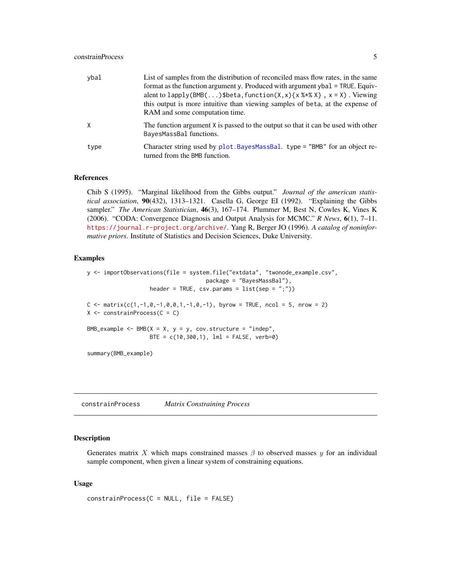#### <span id="page-4-0"></span>constrainProcess 5

| ybal | List of samples from the distribution of reconciled mass flow rates, in the same<br>format as the function argument y. Produced with argument ybal = TRUE. Equiv-<br>alent to lapply(BMB()\$beta, function(X, x){ $x$ % $x$ $\}$ , $x = X$ ). Viewing<br>this output is more intuitive than viewing samples of beta, at the expense of<br>RAM and some computation time. |
|------|--------------------------------------------------------------------------------------------------------------------------------------------------------------------------------------------------------------------------------------------------------------------------------------------------------------------------------------------------------------------------|
|      | The function argument X is passed to the output so that it can be used with other<br>BayesMassBal functions.                                                                                                                                                                                                                                                             |
| type | Character string used by plot. BayesMassBal. type = "BMB" for an object re-<br>turned from the BMB function.                                                                                                                                                                                                                                                             |

#### References

Chib S (1995). "Marginal likelihood from the Gibbs output." *Journal of the american statistical association*, 90(432), 1313–1321. Casella G, George EI (1992). "Explaining the Gibbs sampler." *The American Statistician*, 46(3), 167–174. Plummer M, Best N, Cowles K, Vines K (2006). "CODA: Convergence Diagnosis and Output Analysis for MCMC." *R News*, 6(1), 7–11. <https://journal.r-project.org/archive/>. Yang R, Berger JO (1996). *A catalog of noninformative priors*. Institute of Statistics and Decision Sciences, Duke University.

#### Examples

```
y <- importObservations(file = system.file("extdata", "twonode_example.csv",
                                        package = "BayesMassBal"),
                     header = TRUE, \text{csv.params} = \text{list}(\text{sep} = ";"))C \le - matrix(c(1,-1,0,-1,0,0,1,-1,0,-1), byrow = TRUE, ncol = 5, nrow = 2)
X \leftarrow \text{constraintProcess}(C = C)BMB_example <- BMB(X = X, y = y, cov.structure = "indep",BTE = c(10, 300, 1), \text{ lm}1 = FALSE, verb=0)summary(BMB_example)
```
<span id="page-4-1"></span>constrainProcess *Matrix Constraining Process*

#### **Description**

Generates matrix X which maps constrained masses  $\beta$  to observed masses y for an individual sample component, when given a linear system of constraining equations.

#### Usage

```
constrainProcess(C = NULL, file = FALSE)
```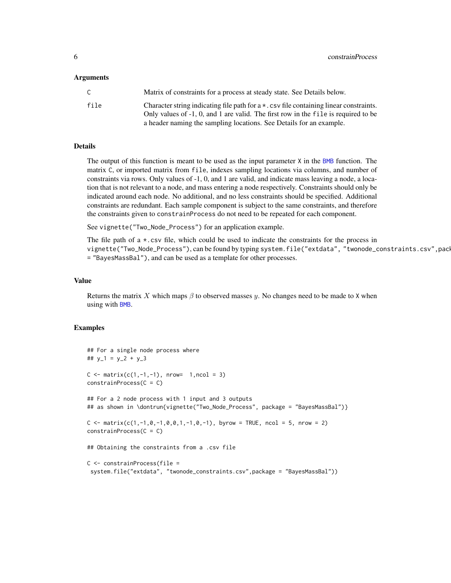#### <span id="page-5-0"></span>Arguments

| C    | Matrix of constraints for a process at steady state. See Details below.                                                                                                             |
|------|-------------------------------------------------------------------------------------------------------------------------------------------------------------------------------------|
| file | Character string indicating file path for $a \star$ . csv file containing linear constraints.<br>Only values of -1, 0, and 1 are valid. The first row in the file is required to be |
|      | a header naming the sampling locations. See Details for an example.                                                                                                                 |

#### Details

The output of this function is meant to be used as the input parameter  $X$  in the [BMB](#page-1-1) function. The matrix C, or imported matrix from file, indexes sampling locations via columns, and number of constraints via rows. Only values of -1, 0, and 1 are valid, and indicate mass leaving a node, a location that is not relevant to a node, and mass entering a node respectively. Constraints should only be indicated around each node. No additional, and no less constraints should be specified. Additional constraints are redundant. Each sample component is subject to the same constraints, and therefore the constraints given to constrainProcess do not need to be repeated for each component.

See vignette("Two\_Node\_Process") for an application example.

The file path of a  $\star$ .csv file, which could be used to indicate the constraints for the process in vignette("Two\_Node\_Process"), can be found by typing system.file("extdata", "twonode\_constraints.csv", pack = "BayesMassBal"), and can be used as a template for other processes.

#### Value

Returns the matrix X which maps  $\beta$  to observed masses y. No changes need to be made to X when using with [BMB](#page-1-1).

#### Examples

```
## For a single node process where
## y_1 = y_2 + y_3C \le - matrix(c(1,-1,-1), nrow= 1,ncol = 3)
constrainedProcess(C = C)## For a 2 node process with 1 input and 3 outputs
## as shown in \dontrun{vignette("Two_Node_Process", package = "BayesMassBal")}
C <- matrix(c(1,-1,0,-1,0,0,1,-1,0,-1), byrow = TRUE, ncol = 5, nrow = 2)
constrainProcess(C = C)
## Obtaining the constraints from a .csv file
C <- constrainProcess(file =
 system.file("extdata", "twonode_constraints.csv",package = "BayesMassBal"))
```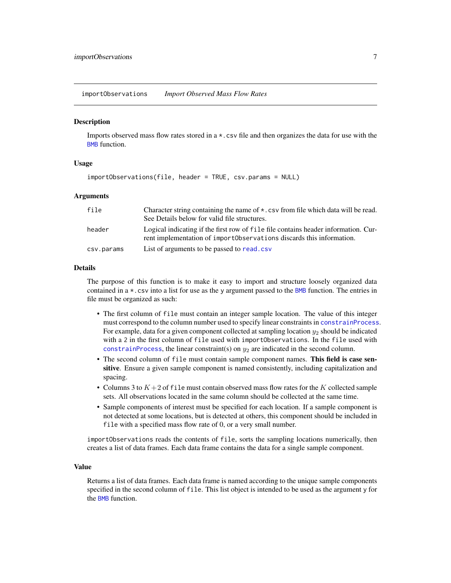<span id="page-6-1"></span><span id="page-6-0"></span>importObservations *Import Observed Mass Flow Rates*

#### Description

Imports observed mass flow rates stored in a \*.csv file and then organizes the data for use with the [BMB](#page-1-1) function.

#### Usage

```
importObservations(file, header = TRUE, csv.params = NULL)
```
#### Arguments

| file       | Character string containing the name of $\star$ . csv from file which data will be read.<br>See Details below for valid file structures.                    |
|------------|-------------------------------------------------------------------------------------------------------------------------------------------------------------|
| header     | Logical indicating if the first row of file file contains header information. Cur-<br>rent implementation of import Observations diseards this information. |
| csv.params | List of arguments to be passed to read. csv                                                                                                                 |

#### Details

The purpose of this function is to make it easy to import and structure loosely organized data contained in a \*.csv into a list for use as the y argument passed to the [BMB](#page-1-1) function. The entries in file must be organized as such:

- The first column of file must contain an integer sample location. The value of this integer must correspond to the column number used to specify linear constraints in [constrainProcess](#page-4-1). For example, data for a given component collected at sampling location  $y_2$  should be indicated with a 2 in the first column of file used with importObservations. In the file used with [constrainProcess](#page-4-1), the linear constraint(s) on  $y_2$  are indicated in the second column.
- The second column of file must contain sample component names. This field is case sensitive. Ensure a given sample component is named consistently, including capitalization and spacing.
- Columns 3 to  $K + 2$  of file must contain observed mass flow rates for the K collected sample sets. All observations located in the same column should be collected at the same time.
- Sample components of interest must be specified for each location. If a sample component is not detected at some locations, but is detected at others, this component should be included in file with a specified mass flow rate of 0, or a very small number.

importObservations reads the contents of file, sorts the sampling locations numerically, then creates a list of data frames. Each data frame contains the data for a single sample component.

#### Value

Returns a list of data frames. Each data frame is named according to the unique sample components specified in the second column of file. This list object is intended to be used as the argument y for the **[BMB](#page-1-1)** function.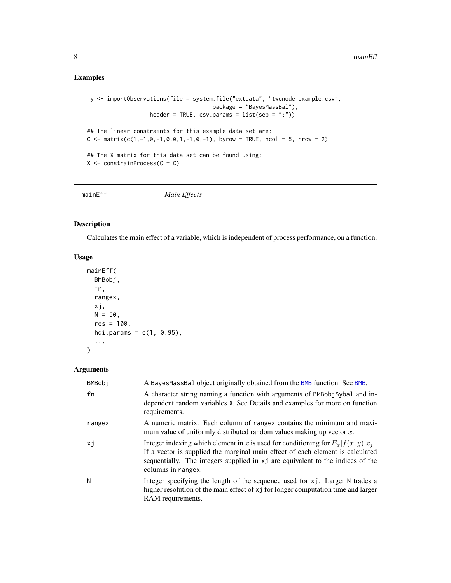### <span id="page-7-0"></span>Examples

```
y <- importObservations(file = system.file("extdata", "twonode_example.csv",
                                         package = "BayesMassBal"),
                    header = TRUE, \text{csv.params} = \text{list}(\text{sep} = ";")## The linear constraints for this example data set are:
C \le matrix(c(1,-1,0,-1,0,0,1,-1,0,-1), byrow = TRUE, ncol = 5, nrow = 2)
## The X matrix for this data set can be found using:
X \leftarrow \text{constraintProcess}(C = C)
```

| mainEff | Main Effects |  |
|---------|--------------|--|
|---------|--------------|--|

#### Description

Calculates the main effect of a variable, which is independent of process performance, on a function.

#### Usage

```
mainEff(
  BMBobj,
  fn,
  rangex,
  xj,
  N = 50,
  res = 100,hdi.params = c(1, 0.95),
  ...
\mathcal{L}
```
#### Arguments

| <b>BMBobj</b> | A BayesMassBal object originally obtained from the BMB function. See BMB.                                                                                                                                                                                                       |
|---------------|---------------------------------------------------------------------------------------------------------------------------------------------------------------------------------------------------------------------------------------------------------------------------------|
| fn            | A character string naming a function with arguments of BMBobj\$ybal and in-<br>dependent random variables X. See Details and examples for more on function<br>requirements.                                                                                                     |
| rangex        | A numeric matrix. Each column of rangex contains the minimum and maxi-<br>mum value of uniformly distributed random values making up vector $x$ .                                                                                                                               |
| хj            | Integer indexing which element in x is used for conditioning for $E_x[f(x, y) x_i]$ .<br>If a vector is supplied the marginal main effect of each element is calculated<br>sequentially. The integers supplied in xj are equivalent to the indices of the<br>columns in rangex. |
| N             | Integer specifying the length of the sequence used for xj. Larger N trades a<br>higher resolution of the main effect of x j for longer computation time and larger<br>RAM requirements.                                                                                         |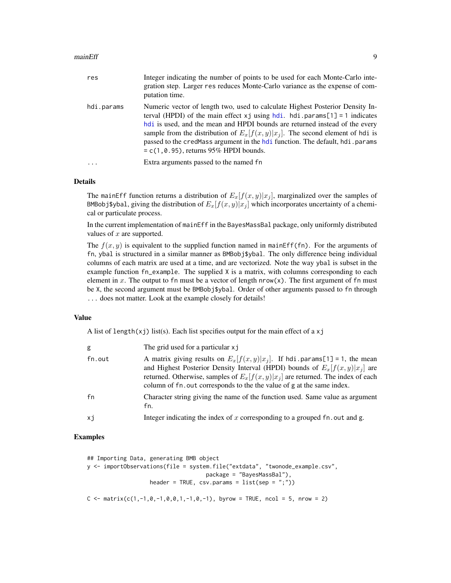#### <span id="page-8-0"></span>mainEff 9

| res        | Integer indicating the number of points to be used for each Monte-Carlo inte-<br>gration step. Larger res reduces Monte-Carlo variance as the expense of com-<br>putation time.                                                                                                                                                                                                                                                                                       |
|------------|-----------------------------------------------------------------------------------------------------------------------------------------------------------------------------------------------------------------------------------------------------------------------------------------------------------------------------------------------------------------------------------------------------------------------------------------------------------------------|
| hdi.params | Numeric vector of length two, used to calculate Highest Posterior Density In-<br>terval (HPDI) of the main effect $xj$ using $hdi$ . $hdi$ . params[1] = 1 indicates<br>hdi is used, and the mean and HPDI bounds are returned instead of the every<br>sample from the distribution of $E_x[f(x, y) x_i]$ . The second element of hdi is<br>passed to the credMass argument in the hdi function. The default, hdi.params<br>$= c(1, 0.95)$ , returns 95% HPDI bounds. |
| $\ddots$ . | Extra arguments passed to the named fn                                                                                                                                                                                                                                                                                                                                                                                                                                |

#### Details

The mainEff function returns a distribution of  $E_x[f(x, y)|x_i]$ , marginalized over the samples of BMBobj\$ybal, giving the distribution of  $E_x[f(x, y)|x_i]$  which incorporates uncertainty of a chemical or particulate process.

In the current implementation of mainEff in the BayesMassBal package, only uniformly distributed values of  $x$  are supported.

The  $f(x, y)$  is equivalent to the supplied function named in mainEff(fn). For the arguments of fn, ybal is structured in a similar manner as BMBobj\$ybal. The only difference being individual columns of each matrix are used at a time, and are vectorized. Note the way ybal is subset in the example function fn\_example. The supplied X is a matrix, with columns corresponding to each element in x. The output to fn must be a vector of length  $nrow(x)$ . The first argument of fn must be X, the second argument must be BMBobj\$ybal. Order of other arguments passed to fn through ... does not matter. Look at the example closely for details!

#### Value

A list of length(xj) list(s). Each list specifies output for the main effect of a  $xj$ 

| g      | The grid used for a particular xj                                                                                                                                                                                                                                                                                              |
|--------|--------------------------------------------------------------------------------------------------------------------------------------------------------------------------------------------------------------------------------------------------------------------------------------------------------------------------------|
| fn.out | A matrix giving results on $E_x[f(x,y) x_i]$ . If hdi.params[1] = 1, the mean<br>and Highest Posterior Density Interval (HPDI) bounds of $E_x[f(x,y) x_i]$ are<br>returned. Otherwise, samples of $E_x[f(x, y) x_i]$ are returned. The index of each<br>column of fn. out corresponds to the the value of g at the same index. |
| fn     | Character string giving the name of the function used. Same value as argument<br>fn.                                                                                                                                                                                                                                           |
| xi     | Integer indicating the index of x corresponding to a grouped $fn$ . out and g.                                                                                                                                                                                                                                                 |

#### Examples

```
## Importing Data, generating BMB object
y <- importObservations(file = system.file("extdata", "twonode_example.csv",
                                      package = "BayesMassBal"),
                    header = TRUE, \text{csv.params} = \text{list}(\text{sep} = ";"))C \le matrix(c(1,-1,0,-1,0,0,1,-1,0,-1), byrow = TRUE, ncol = 5, nrow = 2)
```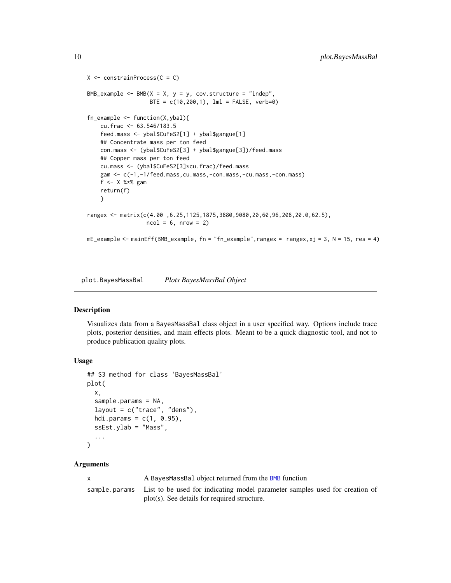```
X \leftarrow \text{constraintProcess}(C = C)BMB_example <- BMB(X = X, y = y, cov.structure = "indep",
                   BTE = c(10, 200, 1), 1ml = FALSE, verb=0)
fn_example <- function(X,ybal){
   cu.frac <- 63.546/183.5
    feed.mass <- ybal$CuFeS2[1] + ybal$gangue[1]
    ## Concentrate mass per ton feed
   con.mass <- (ybal$CuFeS2[3] + ybal$gangue[3])/feed.mass
    ## Copper mass per ton feed
    cu.mass <- (ybal$CuFeS2[3]*cu.frac)/feed.mass
    gam <- c(-1,-1/feed.mass,cu.mass,-con.mass,-cu.mass,-con.mass)
    f \leftarrow X %*% gam
    return(f)
    }
rangex <- matrix(c(4.00 ,6.25,1125,1875,3880,9080,20,60,96,208,20.0,62.5),
                  ncol = 6, nrow = 2mE_example <- mainEff(BMB_example, fn = "fn_example", rangex = rangex, xj = 3, N = 15, res = 4)
```
<span id="page-9-1"></span>plot.BayesMassBal *Plots BayesMassBal Object*

#### Description

Visualizes data from a BayesMassBal class object in a user specified way. Options include trace plots, posterior densities, and main effects plots. Meant to be a quick diagnostic tool, and not to produce publication quality plots.

#### Usage

```
## S3 method for class 'BayesMassBal'
plot(
  x,
  sample.params = NA,
  layout = c("trace", "dens"),hdi.params = c(1, 0.95),
  ssEst.ylab = "Mass",
  ...
\lambda
```
#### Arguments

x A BayesMassBal object returned from the [BMB](#page-1-1) function sample.params List to be used for indicating model parameter samples used for creation of plot(s). See details for required structure.

<span id="page-9-0"></span>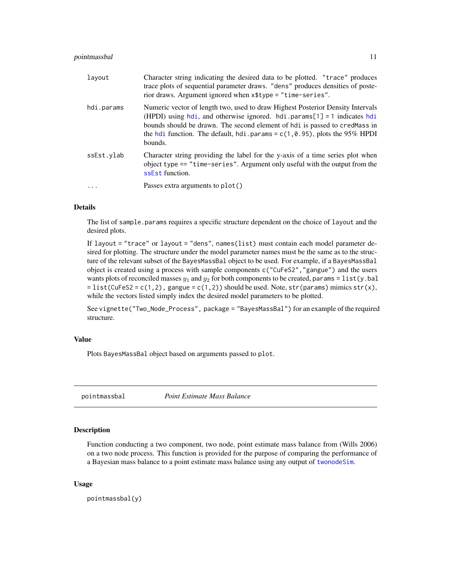#### <span id="page-10-0"></span>pointmassbal 11

| layout     | Character string indicating the desired data to be plotted. "trace" produces<br>trace plots of sequential parameter draws. "dens" produces densities of poste-<br>rior draws. Argument ignored when x\$type = "time-series".                                                                                                                    |
|------------|-------------------------------------------------------------------------------------------------------------------------------------------------------------------------------------------------------------------------------------------------------------------------------------------------------------------------------------------------|
| hdi.params | Numeric vector of length two, used to draw Highest Posterior Density Intervals<br>(HPDI) using $hdi$ , and otherwise ignored. $hdi$ . params[1] = 1 indicates $hdi$<br>bounds should be drawn. The second element of hdi is passed to cred Mass in<br>the hdi function. The default, hdi. params = $c(1, 0.95)$ , plots the 95% HPDI<br>bounds. |
| ssEst.vlab | Character string providing the label for the y-axis of a time series plot when<br>object type $==$ "time-series". Argument only useful with the output from the<br>ssEst function.                                                                                                                                                              |
|            | Passes extra arguments to plot()                                                                                                                                                                                                                                                                                                                |

#### Details

The list of sample. params requires a specific structure dependent on the choice of layout and the desired plots.

If layout = "trace" or layout = "dens", names(list) must contain each model parameter desired for plotting. The structure under the model parameter names must be the same as to the structure of the relevant subset of the BayesMassBal object to be used. For example, if a BayesMassBal object is created using a process with sample components c("CuFeS2","gangue") and the users wants plots of reconciled masses  $y_1$  and  $y_2$  for both components to be created, params = list(y.bal = list(CuFeS2 = c(1,2), gangue = c(1,2)) should be used. Note, str(params) mimics str(x), while the vectors listed simply index the desired model parameters to be plotted.

See vignette("Two\_Node\_Process", package = "BayesMassBal") for an example of the required structure.

#### Value

Plots BayesMassBal object based on arguments passed to plot.

pointmassbal *Point Estimate Mass Balance*

#### **Description**

Function conducting a two component, two node, point estimate mass balance from (Wills 2006) on a two node process. This function is provided for the purpose of comparing the performance of a Bayesian mass balance to a point estimate mass balance using any output of [twonodeSim](#page-14-1).

#### Usage

pointmassbal(y)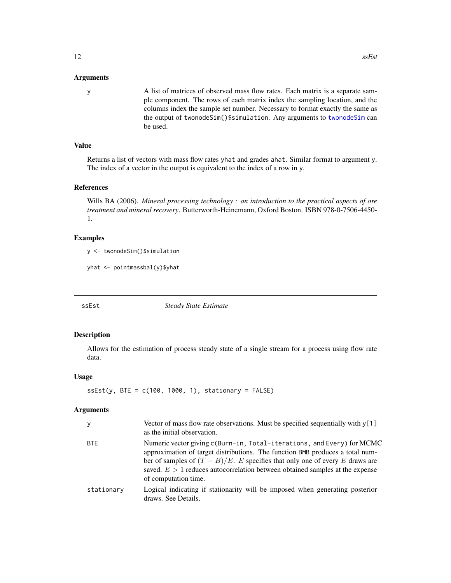#### <span id="page-11-0"></span>Arguments

y A list of matrices of observed mass flow rates. Each matrix is a separate sample component. The rows of each matrix index the sampling location, and the columns index the sample set number. Necessary to format exactly the same as the output of twonodeSim()\$simulation. Any arguments to [twonodeSim](#page-14-1) can be used.

#### Value

Returns a list of vectors with mass flow rates yhat and grades ahat. Similar format to argument y. The index of a vector in the output is equivalent to the index of a row in y.

#### References

Wills BA (2006). *Mineral processing technology : an introduction to the practical aspects of ore treatment and mineral recovery*. Butterworth-Heinemann, Oxford Boston. ISBN 978-0-7506-4450- 1.

#### Examples

y <- twonodeSim()\$simulation

yhat <- pointmassbal(y)\$yhat

<span id="page-11-1"></span>

ssEst *Steady State Estimate*

#### Description

Allows for the estimation of process steady state of a single stream for a process using flow rate data.

#### Usage

```
sEst(y, BTE = c(100, 1000, 1), stationary = FALSE)
```
#### Arguments

| У          | Vector of mass flow rate observations. Must be specified sequentially with $y[1]$<br>as the initial observation.                                                                                                                                                                                                                                    |
|------------|-----------------------------------------------------------------------------------------------------------------------------------------------------------------------------------------------------------------------------------------------------------------------------------------------------------------------------------------------------|
| <b>BTE</b> | Numeric vector giving c(Burn-in, Total-iterations, and Every) for MCMC<br>approximation of target distributions. The function BMB produces a total num-<br>ber of samples of $(T - B)/E$ . E specifies that only one of every E draws are<br>saved. $E > 1$ reduces autocorrelation between obtained samples at the expense<br>of computation time. |
| stationary | Logical indicating if stationarity will be imposed when generating posterior<br>draws. See Details.                                                                                                                                                                                                                                                 |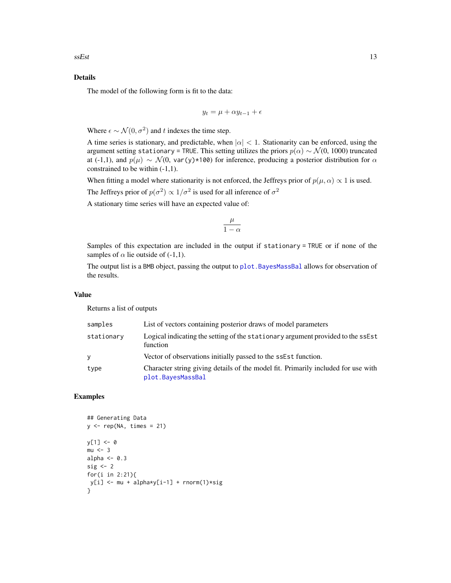#### <span id="page-12-0"></span>Details

The model of the following form is fit to the data:

$$
y_t = \mu + \alpha y_{t-1} + \epsilon
$$

Where  $\epsilon \sim \mathcal{N}(0, \sigma^2)$  and t indexes the time step.

A time series is stationary, and predictable, when  $|\alpha| < 1$ . Stationarity can be enforced, using the argument setting stationary = TRUE. This setting utilizes the priors  $p(\alpha) \sim \mathcal{N}(0, 1000)$  truncated at (-1,1), and  $p(\mu) \sim \mathcal{N}(0, \text{var}(y) \star 100)$  for inference, producing a posterior distribution for  $\alpha$ constrained to be within (-1,1).

When fitting a model where stationarity is not enforced, the Jeffreys prior of  $p(\mu, \alpha) \propto 1$  is used. The Jeffreys prior of  $p(\sigma^2) \propto 1/\sigma^2$  is used for all inference of  $\sigma^2$ 

A stationary time series will have an expected value of:

$$
\frac{\mu}{1-\alpha}
$$

Samples of this expectation are included in the output if stationary = TRUE or if none of the samples of  $\alpha$  lie outside of (-1,1).

The output list is a BMB object, passing the output to [plot.BayesMassBal](#page-9-1) allows for observation of the results.

#### Value

Returns a list of outputs

| samples    | List of vectors containing posterior draws of model parameters                                         |
|------------|--------------------------------------------------------------------------------------------------------|
| stationary | Logical indicating the setting of the stationary argument provided to the ssest<br>function            |
| y          | Vector of observations initially passed to the ssEst function.                                         |
| type       | Character string giving details of the model fit. Primarily included for use with<br>plot.BayesMassBal |

#### Examples

```
## Generating Data
y \leftarrow rep(NA, times = 21)y[1] < -0mu < -3alpha <-0.3sig \leftarrow 2for(i in 2:21){
y[i] <- mu + alpha*y[i-1] + rnorm(1)*sig
}
```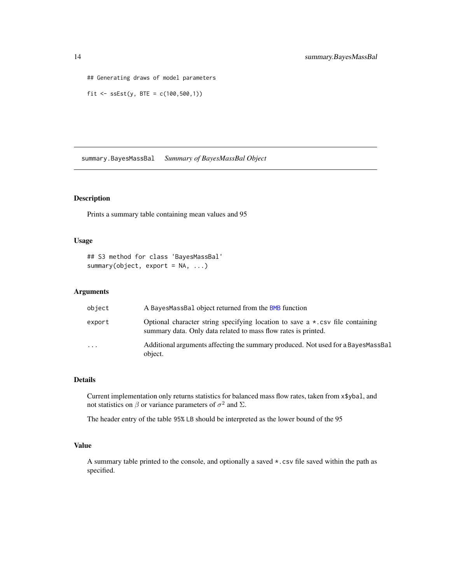```
## Generating draws of model parameters
```
fit <-  $sEst(y, BTE = c(100, 500, 1))$ 

summary.BayesMassBal *Summary of BayesMassBal Object*

#### Description

Prints a summary table containing mean values and 95

#### Usage

```
## S3 method for class 'BayesMassBal'
summary(object, export = NA, ...)
```
#### Arguments

| object   | A BayesMassBal object returned from the BMB function                                                                                                    |
|----------|---------------------------------------------------------------------------------------------------------------------------------------------------------|
| export   | Optional character string specifying location to save $a \star$ . csv file containing<br>summary data. Only data related to mass flow rates is printed. |
| $\cdots$ | Additional arguments affecting the summary produced. Not used for a BayesMassBal<br>object.                                                             |

#### Details

Current implementation only returns statistics for balanced mass flow rates, taken from x\$ybal, and not statistics on  $\beta$  or variance parameters of  $\sigma^2$  and  $\Sigma$ .

The header entry of the table 95% LB should be interpreted as the lower bound of the 95

#### Value

A summary table printed to the console, and optionally a saved \*.csv file saved within the path as specified.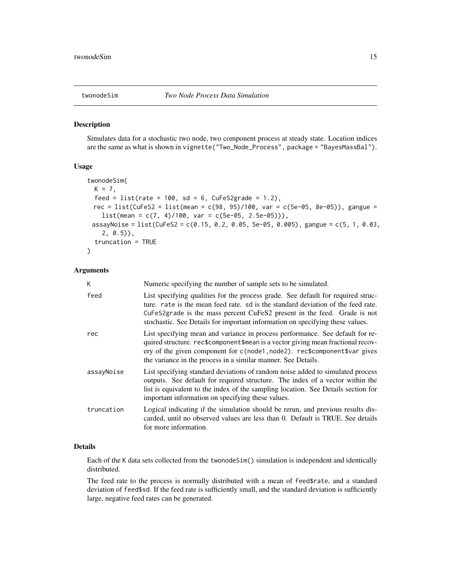#### <span id="page-14-1"></span><span id="page-14-0"></span>Description

Simulates data for a stochastic two node, two component process at steady state. Location indices are the same as what is shown in vignette("Two\_Node\_Process", package = "BayesMassBal").

#### Usage

```
twonodeSim(
 K = 7,
  feed = list(rate = 100, sd = 6, CuFeS2grade = 1.2),
 rec = list(CuFeS2 = list(mean = c(98, 95)/100, var = c(5e-05, 8e-05)), gangue =
    list(\text{mean} = c(7, 4)/100, \text{var} = c(5e-05, 2.5e-05)),
 assayNoise = list(CuFeS2 = c(0.15, 0.2, 0.05, 5e-05, 0.005), gangue = c(5, 1, 0.03,
    2, 0.5)),
  truncation = TRUE
\lambda
```
#### Arguments

| K          | Numeric specifying the number of sample sets to be simulated.                                                                                                                                                                                                                                                                     |
|------------|-----------------------------------------------------------------------------------------------------------------------------------------------------------------------------------------------------------------------------------------------------------------------------------------------------------------------------------|
| feed       | List specifying qualities for the process grade. See default for required struc-<br>ture, rate is the mean feed rate, so is the standard deviation of the feed rate.<br>CuFeS2grade is the mass percent CuFeS2 present in the feed. Grade is not<br>stochastic. See Details for important information on specifying these values. |
| rec        | List specifying mean and variance in process performance. See default for re-<br>quired structure. rec\$component\$mean is a vector giving mean fractional recov-<br>ery of the given component for $c(\text{node1}, \text{node2})$ . rec\$component\$var gives<br>the variance in the process in a similar manner. See Details.  |
| assayNoise | List specifying standard deviations of random noise added to simulated process<br>outputs. See default for required structure. The index of a vector within the<br>list is equivalent to the index of the sampling location. See Details section for<br>important information on specifying these values.                         |
| truncation | Logical indicating if the simulation should be rerun, and previous results dis-<br>carded, until no observed values are less than 0. Default is TRUE. See details<br>for more information.                                                                                                                                        |

#### Details

Each of the K data sets collected from the twonodeSim() simulation is independent and identically distributed.

The feed rate to the process is normally distributed with a mean of feed\$rate, and a standard deviation of feed\$sd. If the feed rate is sufficiently small, and the standard deviation is sufficiently large, negative feed rates can be generated.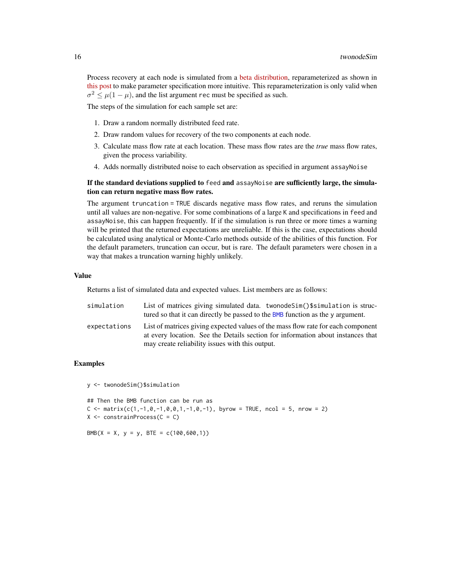<span id="page-15-0"></span>Process recovery at each node is simulated from a [beta distribution,](https://en.wikipedia.org/wiki/Beta_distribution) reparameterized as shown in [this post](https://stats.stackexchange.com/a/12239) to make parameter specification more intuitive. This reparameterization is only valid when  $\sigma^2 \leq \mu(1-\mu)$ , and the list argument rec must be specified as such.

The steps of the simulation for each sample set are:

- 1. Draw a random normally distributed feed rate.
- 2. Draw random values for recovery of the two components at each node.
- 3. Calculate mass flow rate at each location. These mass flow rates are the *true* mass flow rates, given the process variability.
- 4. Adds normally distributed noise to each observation as specified in argument assayNoise

#### If the standard deviations supplied to feed and assayNoise are sufficiently large, the simulation can return negative mass flow rates.

The argument truncation = TRUE discards negative mass flow rates, and reruns the simulation until all values are non-negative. For some combinations of a large K and specifications in feed and assayNoise, this can happen frequently. If if the simulation is run three or more times a warning will be printed that the returned expectations are unreliable. If this is the case, expectations should be calculated using analytical or Monte-Carlo methods outside of the abilities of this function. For the default parameters, truncation can occur, but is rare. The default parameters were chosen in a way that makes a truncation warning highly unlikely.

#### Value

Returns a list of simulated data and expected values. List members are as follows:

| simulation   | List of matrices giving simulated data. twonodeSim()\$simulation is struc-            |
|--------------|---------------------------------------------------------------------------------------|
|              | tured so that it can directly be passed to the BMB function as the $\gamma$ argument. |
| expectations | List of matrices giving expected values of the mass flow rate for each component      |
|              | at every location. See the Details section for information about instances that       |
|              | may create reliability issues with this output.                                       |

#### Examples

y <- twonodeSim()\$simulation

```
## Then the BMB function can be run as
C \le matrix(c(1,-1,0,-1,0,0,1,-1,0,-1), byrow = TRUE, ncol = 5, nrow = 2)
X \leftarrow \text{constraintProcess}(C = C)
```
BMB(X = X, y = y, BTE =  $c(100, 600, 1)$ )